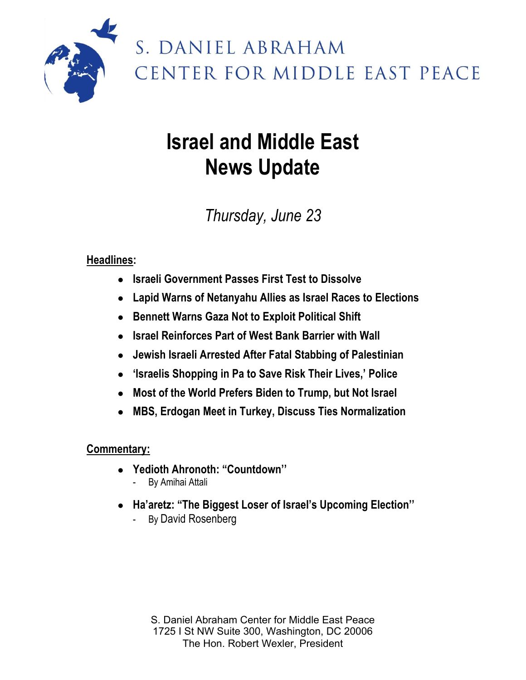

# S. DANIEL ABRAHAM CENTER FOR MIDDLE EAST PEACE

# **Israel and Middle East News Update**

## *Thursday, June 23*

### **Headlines:**

- **Israeli Government Passes First Test to Dissolve**
- **Lapid Warns of Netanyahu Allies as Israel Races to Elections**
- **Bennett Warns Gaza Not to Exploit Political Shift**
- **Israel Reinforces Part of West Bank Barrier with Wall**
- **Jewish Israeli Arrested After Fatal Stabbing of Palestinian**
- **'Israelis Shopping in Pa to Save Risk Their Lives,' Police**
- **Most of the World Prefers Biden to Trump, but Not Israel**
- **MBS, Erdogan Meet in Turkey, Discuss Ties Normalization**

#### **Commentary:**

- **Yedioth Ahronoth: "Countdown''**
	- By Amihai Attali
- **Ha'aretz: "The Biggest Loser of Israel's Upcoming Election''**
	- By David Rosenberg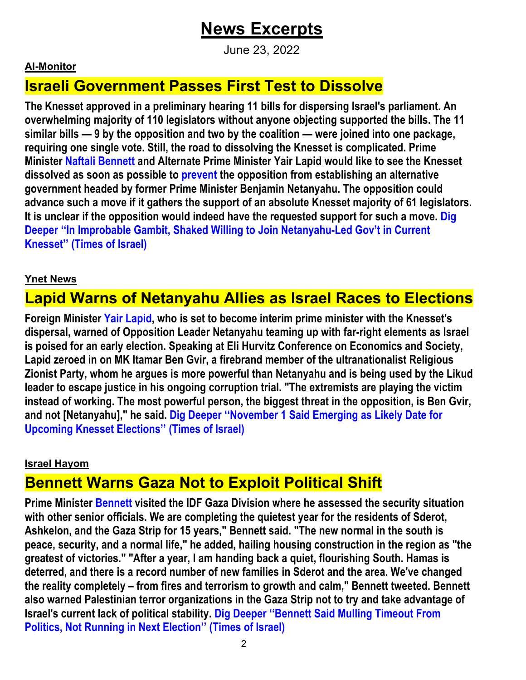## **News Excerpts**

June 23, 2022

#### **Al-Monitor**

### **Israeli Government Passes First Test to Dissolve**

**The Knesset approved in a preliminary hearing 11 bills for dispersing Israel's parliament. An overwhelming majority of 110 legislators without anyone objecting supported the bills. The 11 similar bills — 9 by the opposition and two by the coalition — were joined into one package, requiring one single vote. Still, the road to dissolving the Knesset is complicated. Prime Minister Naftali Bennett and Alternate Prime Minister Yair Lapid would like to see the Knesset dissolved as soon as possible to prevent the opposition from establishing an alternative government headed by former Prime Minister Benjamin Netanyahu. The opposition could advance such a move if it gathers the support of an absolute Knesset majority of 61 legislators. It is unclear if the opposition would indeed have the requested support for such a move. Dig Deeper ''In Improbable Gambit, Shaked Willing to Join Netanyahu-Led Gov't in Current Knesset'' (Times of Israel)**

#### **Ynet News**

### **Lapid Warns of Netanyahu Allies as Israel Races to Elections**

**Foreign Minister Yair Lapid, who is set to become interim prime minister with the Knesset's dispersal, warned of Opposition Leader Netanyahu teaming up with far-right elements as Israel is poised for an early election. Speaking at Eli Hurvitz Conference on Economics and Society, Lapid zeroed in on MK Itamar Ben Gvir, a firebrand member of the ultranationalist Religious Zionist Party, whom he argues is more powerful than Netanyahu and is being used by the Likud leader to escape justice in his ongoing corruption trial. "The extremists are playing the victim instead of working. The most powerful person, the biggest threat in the opposition, is Ben Gvir, and not [Netanyahu]," he said. Dig Deeper ''November 1 Said Emerging as Likely Date for Upcoming Knesset Elections'' (Times of Israel)**

#### **Israel Hayom**

### **Bennett Warns Gaza Not to Exploit Political Shift**

**Prime Minister Bennett visited the IDF Gaza Division where he assessed the security situation with other senior officials. We are completing the quietest year for the residents of Sderot, Ashkelon, and the Gaza Strip for 15 years," Bennett said. "The new normal in the south is peace, security, and a normal life," he added, hailing housing construction in the region as "the greatest of victories." "After a year, I am handing back a quiet, flourishing South. Hamas is deterred, and there is a record number of new families in Sderot and the area. We've changed the reality completely – from fires and terrorism to growth and calm," Bennett tweeted. Bennett also warned Palestinian terror organizations in the Gaza Strip not to try and take advantage of Israel's current lack of political stability. Dig Deeper ''Bennett Said Mulling Timeout From Politics, Not Running in Next Election'' (Times of Israel)**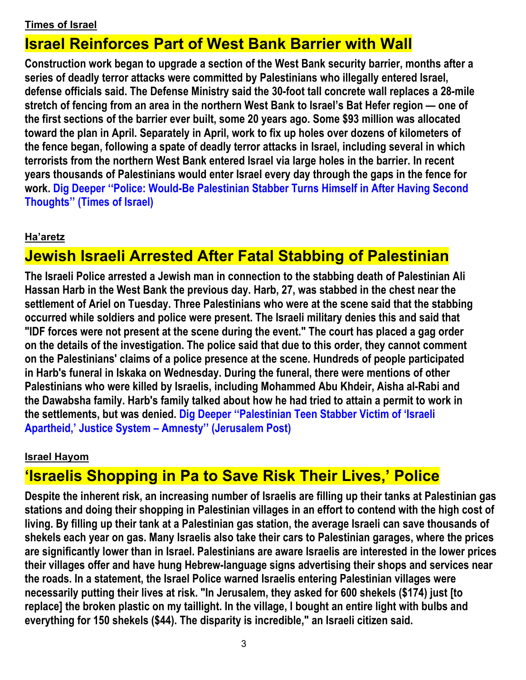#### **Times of Israel**

### **Israel Reinforces Part of West Bank Barrier with Wall**

**Construction work began to upgrade a section of the West Bank security barrier, months after a series of deadly terror attacks were committed by Palestinians who illegally entered Israel, defense officials said. The Defense Ministry said the 30-foot tall concrete wall replaces a 28-mile stretch of fencing from an area in the northern West Bank to Israel's Bat Hefer region — one of the first sections of the barrier ever built, some 20 years ago. Some \$93 million was allocated toward the plan in April. Separately in April, work to fix up holes over dozens of kilometers of the fence began, following a spate of deadly terror attacks in Israel, including several in which terrorists from the northern West Bank entered Israel via large holes in the barrier. In recent years thousands of Palestinians would enter Israel every day through the gaps in the fence for work. Dig Deeper ''Police: Would-Be Palestinian Stabber Turns Himself in After Having Second Thoughts'' (Times of Israel)**

#### **Ha'aretz**

### **Jewish Israeli Arrested After Fatal Stabbing of Palestinian**

**The Israeli Police arrested a Jewish man in connection to the stabbing death of Palestinian Ali Hassan Harb in the West Bank the previous day. Harb, 27, was stabbed in the chest near the settlement of Ariel on Tuesday. Three Palestinians who were at the scene said that the stabbing occurred while soldiers and police were present. The Israeli military denies this and said that "IDF forces were not present at the scene during the event." The court has placed a gag order on the details of the investigation. The police said that due to this order, they cannot comment on the Palestinians' claims of a police presence at the scene. Hundreds of people participated in Harb's funeral in Iskaka on Wednesday. During the funeral, there were mentions of other Palestinians who were killed by Israelis, including Mohammed Abu Khdeir, Aisha al-Rabi and the Dawabsha family. Harb's family talked about how he had tried to attain a permit to work in the settlements, but was denied. Dig Deeper ''Palestinian Teen Stabber Victim of 'Israeli Apartheid,' Justice System – Amnesty'' (Jerusalem Post)**

#### **Israel Hayom**

### **'Israelis Shopping in Pa to Save Risk Their Lives,' Police**

**Despite the inherent risk, an increasing number of Israelis are filling up their tanks at Palestinian gas stations and doing their shopping in Palestinian villages in an effort to contend with the high cost of living. By filling up their tank at a Palestinian gas station, the average Israeli can save thousands of shekels each year on gas. Many Israelis also take their cars to Palestinian garages, where the prices are significantly lower than in Israel. Palestinians are aware Israelis are interested in the lower prices their villages offer and have hung Hebrew-language signs advertising their shops and services near the roads. In a statement, the Israel Police warned Israelis entering Palestinian villages were necessarily putting their lives at risk. "In Jerusalem, they asked for 600 shekels (\$174) just [to replace] the broken plastic on my taillight. In the village, I bought an entire light with bulbs and everything for 150 shekels (\$44). The disparity is incredible," an Israeli citizen said.**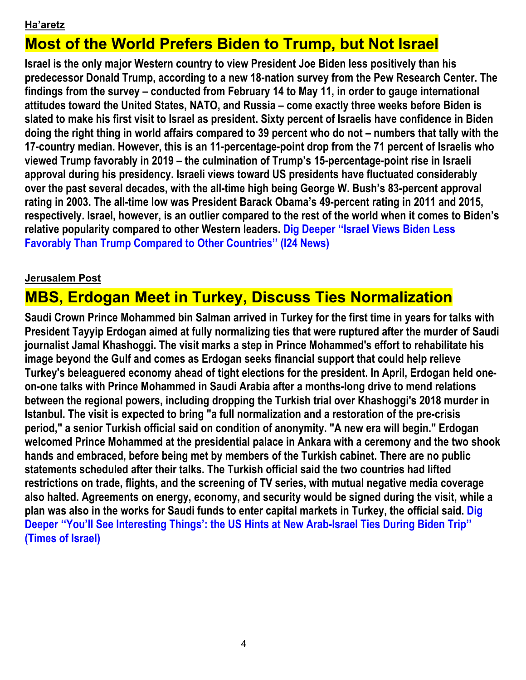#### **Ha'aretz**

### **Most of the World Prefers Biden to Trump, but Not Israel**

**Israel is the only major Western country to view President Joe Biden less positively than his predecessor Donald Trump, according to a new 18-nation survey from the Pew Research Center. The findings from the survey – conducted from February 14 to May 11, in order to gauge international attitudes toward the United States, NATO, and Russia – come exactly three weeks before Biden is slated to make his first visit to Israel as president. Sixty percent of Israelis have confidence in Biden doing the right thing in world affairs compared to 39 percent who do not – numbers that tally with the 17-country median. However, this is an 11-percentage-point drop from the 71 percent of Israelis who viewed Trump favorably in 2019 – the culmination of Trump's 15-percentage-point rise in Israeli approval during his presidency. Israeli views toward US presidents have fluctuated considerably over the past several decades, with the all-time high being George W. Bush's 83-percent approval rating in 2003. The all-time low was President Barack Obama's 49-percent rating in 2011 and 2015, respectively. Israel, however, is an outlier compared to the rest of the world when it comes to Biden's relative popularity compared to other Western leaders. Dig Deeper ''Israel Views Biden Less Favorably Than Trump Compared to Other Countries'' (I24 News)**

#### **Jerusalem Post**

### **MBS, Erdogan Meet in Turkey, Discuss Ties Normalization**

**Saudi Crown Prince Mohammed bin Salman arrived in Turkey for the first time in years for talks with President Tayyip Erdogan aimed at fully normalizing ties that were ruptured after the murder of Saudi journalist Jamal Khashoggi. The visit marks a step in Prince Mohammed's effort to rehabilitate his image beyond the Gulf and comes as Erdogan seeks financial support that could help relieve Turkey's beleaguered economy ahead of tight elections for the president. In April, Erdogan held oneon-one talks with Prince Mohammed in Saudi Arabia after a months-long drive to mend relations between the regional powers, including dropping the Turkish trial over Khashoggi's 2018 murder in Istanbul. The visit is expected to bring "a full normalization and a restoration of the pre-crisis period," a senior Turkish official said on condition of anonymity. "A new era will begin." Erdogan welcomed Prince Mohammed at the presidential palace in Ankara with a ceremony and the two shook hands and embraced, before being met by members of the Turkish cabinet. There are no public statements scheduled after their talks. The Turkish official said the two countries had lifted restrictions on trade, flights, and the screening of TV series, with mutual negative media coverage also halted. Agreements on energy, economy, and security would be signed during the visit, while a plan was also in the works for Saudi funds to enter capital markets in Turkey, the official said. Dig Deeper ''You'll See Interesting Things': the US Hints at New Arab-Israel Ties During Biden Trip'' (Times of Israel)**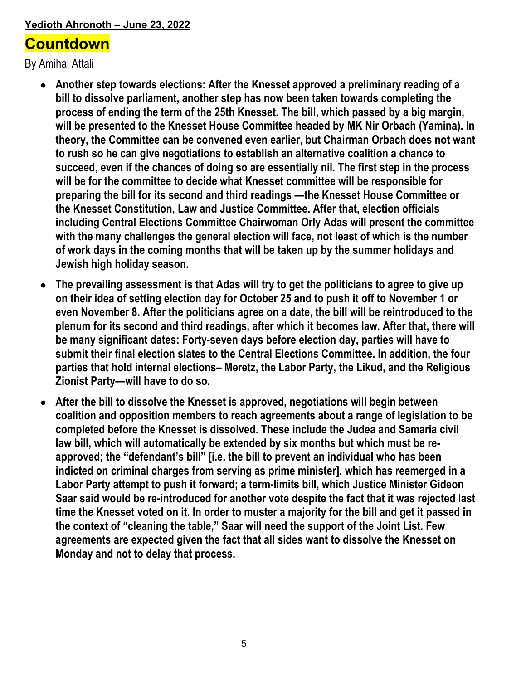#### **Yedioth Ahronoth – June 23, 2022**

### **Countdown**

By Amihai Attali

- **Another step towards elections: After the Knesset approved a preliminary reading of a bill to dissolve parliament, another step has now been taken towards completing the process of ending the term of the 25th Knesset. The bill, which passed by a big margin, will be presented to the Knesset House Committee headed by MK Nir Orbach (Yamina). In theory, the Committee can be convened even earlier, but Chairman Orbach does not want to rush so he can give negotiations to establish an alternative coalition a chance to succeed, even if the chances of doing so are essentially nil. The first step in the process will be for the committee to decide what Knesset committee will be responsible for preparing the bill for its second and third readings —the Knesset House Committee or the Knesset Constitution, Law and Justice Committee. After that, election officials including Central Elections Committee Chairwoman Orly Adas will present the committee with the many challenges the general election will face, not least of which is the number of work days in the coming months that will be taken up by the summer holidays and Jewish high holiday season.**
- **The prevailing assessment is that Adas will try to get the politicians to agree to give up on their idea of setting election day for October 25 and to push it off to November 1 or even November 8. After the politicians agree on a date, the bill will be reintroduced to the plenum for its second and third readings, after which it becomes law. After that, there will be many significant dates: Forty-seven days before election day, parties will have to submit their final election slates to the Central Elections Committee. In addition, the four parties that hold internal elections– Meretz, the Labor Party, the Likud, and the Religious Zionist Party—will have to do so.**
- **After the bill to dissolve the Knesset is approved, negotiations will begin between coalition and opposition members to reach agreements about a range of legislation to be completed before the Knesset is dissolved. These include the Judea and Samaria civil law bill, which will automatically be extended by six months but which must be reapproved; the "defendant's bill" [i.e. the bill to prevent an individual who has been indicted on criminal charges from serving as prime minister], which has reemerged in a Labor Party attempt to push it forward; a term-limits bill, which Justice Minister Gideon Saar said would be re-introduced for another vote despite the fact that it was rejected last time the Knesset voted on it. In order to muster a majority for the bill and get it passed in the context of "cleaning the table," Saar will need the support of the Joint List. Few agreements are expected given the fact that all sides want to dissolve the Knesset on Monday and not to delay that process.**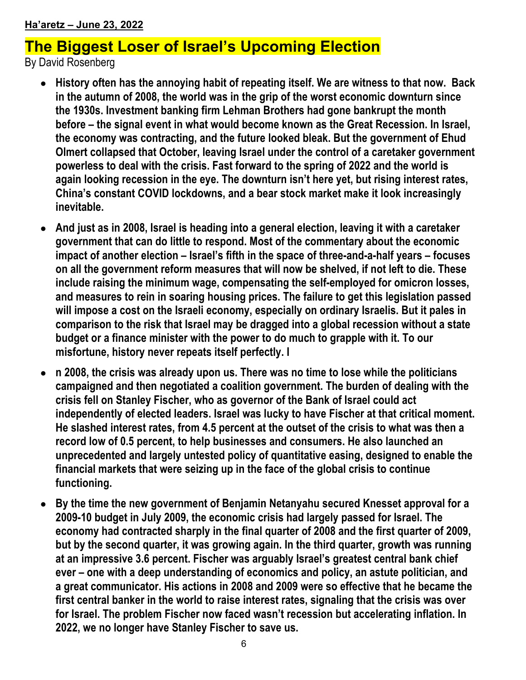### **The Biggest Loser of Israel's Upcoming Election**

By David Rosenberg

- **History often has the annoying habit of repeating itself. We are witness to that now. Back in the autumn of 2008, the world was in the grip of the worst economic downturn since the 1930s. Investment banking firm Lehman Brothers had gone bankrupt the month before – the signal event in what would become known as the Great Recession. In Israel, the economy was contracting, and the future looked bleak. But the government of Ehud Olmert collapsed that October, leaving Israel under the control of a caretaker government powerless to deal with the crisis. Fast forward to the spring of 2022 and the world is again looking recession in the eye. The downturn isn't here yet, but rising interest rates, China's constant COVID lockdowns, and a bear stock market make it look increasingly inevitable.**
- **And just as in 2008, Israel is heading into a general election, leaving it with a caretaker government that can do little to respond. Most of the commentary about the economic impact of another election – Israel's fifth in the space of three-and-a-half years – focuses on all the government reform measures that will now be shelved, if not left to die. These include raising the minimum wage, compensating the self-employed for omicron losses, and measures to rein in soaring housing prices. The failure to get this legislation passed will impose a cost on the Israeli economy, especially on ordinary Israelis. But it pales in comparison to the risk that Israel may be dragged into a global recession without a state budget or a finance minister with the power to do much to grapple with it. To our misfortune, history never repeats itself perfectly. I**
- n 2008, the crisis was already upon us. There was no time to lose while the politicians **campaigned and then negotiated a coalition government. The burden of dealing with the crisis fell on Stanley Fischer, who as governor of the Bank of Israel could act independently of elected leaders. Israel was lucky to have Fischer at that critical moment. He slashed interest rates, from 4.5 percent at the outset of the crisis to what was then a record low of 0.5 percent, to help businesses and consumers. He also launched an unprecedented and largely untested policy of quantitative easing, designed to enable the financial markets that were seizing up in the face of the global crisis to continue functioning.**
- **By the time the new government of Benjamin Netanyahu secured Knesset approval for a 2009-10 budget in July 2009, the economic crisis had largely passed for Israel. The economy had contracted sharply in the final quarter of 2008 and the first quarter of 2009, but by the second quarter, it was growing again. In the third quarter, growth was running at an impressive 3.6 percent. Fischer was arguably Israel's greatest central bank chief ever – one with a deep understanding of economics and policy, an astute politician, and a great communicator. His actions in 2008 and 2009 were so effective that he became the first central banker in the world to raise interest rates, signaling that the crisis was over for Israel. The problem Fischer now faced wasn't recession but accelerating inflation. In 2022, we no longer have Stanley Fischer to save us.**